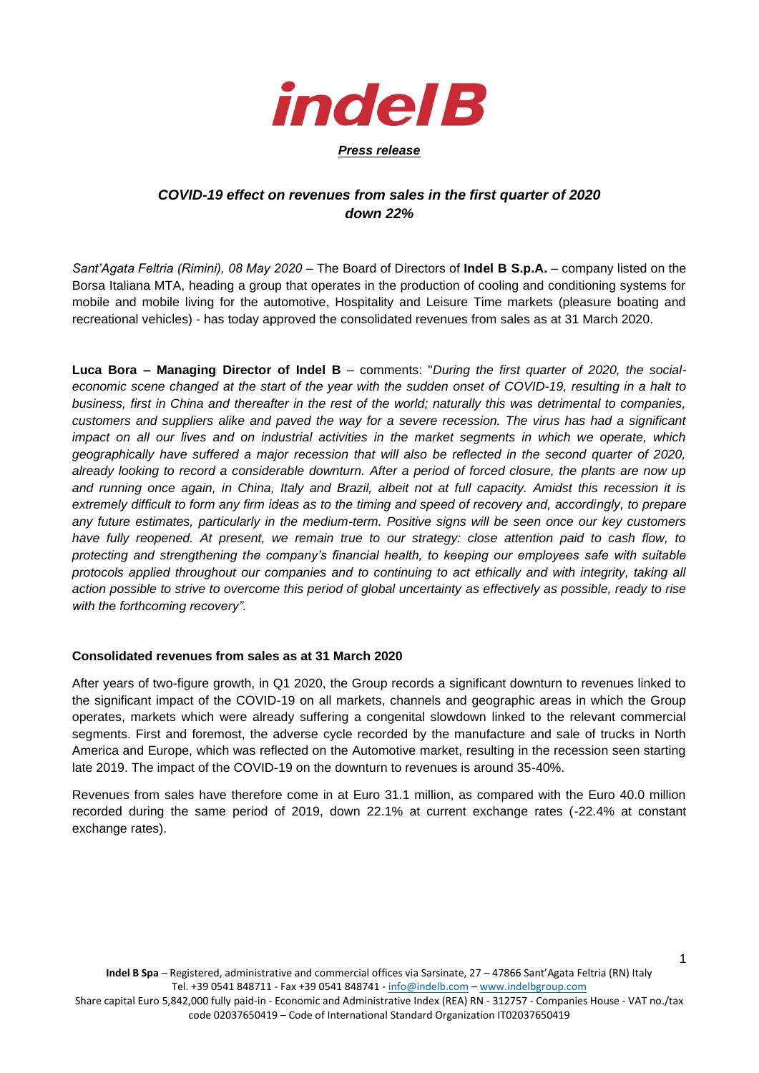

## *COVID-19 effect on revenues from sales in the first quarter of 2020 down 22%*

*Sant'Agata Feltria (Rimini), 08 May 2020* – The Board of Directors of **Indel B S.p.A.** – company listed on the Borsa Italiana MTA, heading a group that operates in the production of cooling and conditioning systems for mobile and mobile living for the automotive, Hospitality and Leisure Time markets (pleasure boating and recreational vehicles) - has today approved the consolidated revenues from sales as at 31 March 2020.

**Luca Bora – Managing Director of Indel B** – comments: "*During the first quarter of 2020, the socialeconomic scene changed at the start of the year with the sudden onset of COVID-19, resulting in a halt to business, first in China and thereafter in the rest of the world; naturally this was detrimental to companies, customers and suppliers alike and paved the way for a severe recession. The virus has had a significant impact on all our lives and on industrial activities in the market segments in which we operate, which geographically have suffered a major recession that will also be reflected in the second quarter of 2020, already looking to record a considerable downturn. After a period of forced closure, the plants are now up and running once again, in China, Italy and Brazil, albeit not at full capacity. Amidst this recession it is extremely difficult to form any firm ideas as to the timing and speed of recovery and, accordingly, to prepare any future estimates, particularly in the medium-term. Positive signs will be seen once our key customers have fully reopened. At present, we remain true to our strategy: close attention paid to cash flow, to protecting and strengthening the company's financial health, to keeping our employees safe with suitable protocols applied throughout our companies and to continuing to act ethically and with integrity, taking all action possible to strive to overcome this period of global uncertainty as effectively as possible, ready to rise with the forthcoming recovery".*

## **Consolidated revenues from sales as at 31 March 2020**

After years of two-figure growth, in Q1 2020, the Group records a significant downturn to revenues linked to the significant impact of the COVID-19 on all markets, channels and geographic areas in which the Group operates, markets which were already suffering a congenital slowdown linked to the relevant commercial segments. First and foremost, the adverse cycle recorded by the manufacture and sale of trucks in North America and Europe, which was reflected on the Automotive market, resulting in the recession seen starting late 2019. The impact of the COVID-19 on the downturn to revenues is around 35-40%.

Revenues from sales have therefore come in at Euro 31.1 million, as compared with the Euro 40.0 million recorded during the same period of 2019, down 22.1% at current exchange rates (-22.4% at constant exchange rates).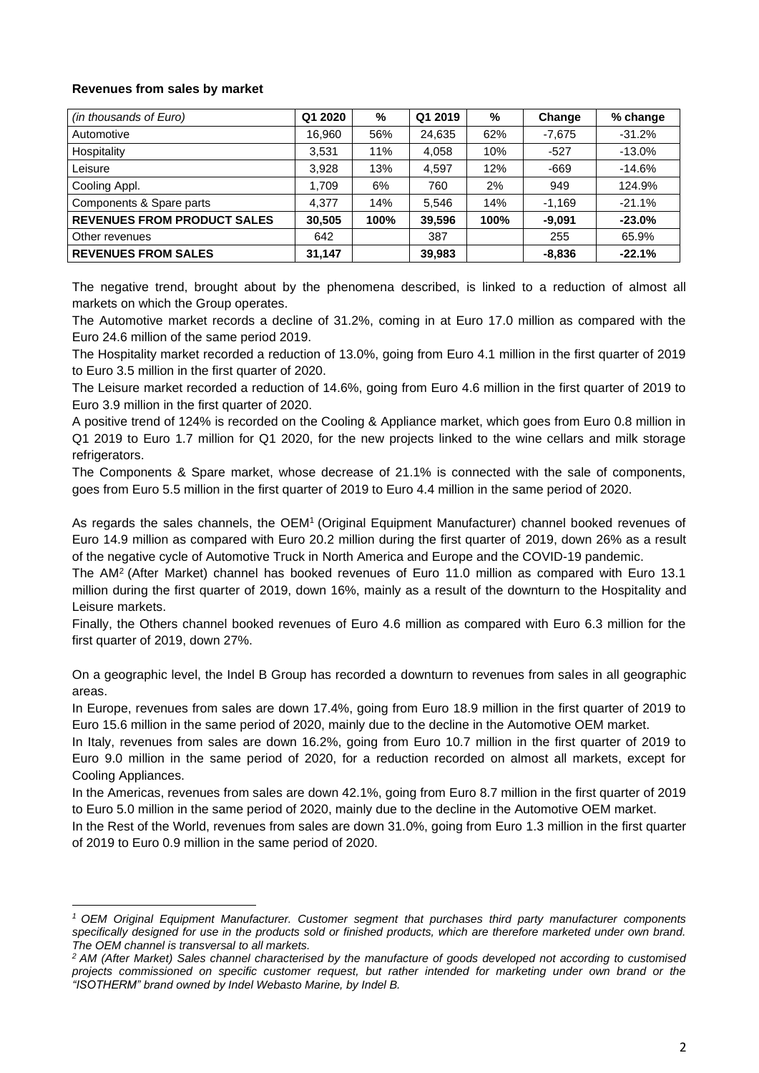## **Revenues from sales by market**

| (in thousands of Euro)             | Q1 2020 | %    | Q1 2019 | %    | Change   | % change |
|------------------------------------|---------|------|---------|------|----------|----------|
| Automotive                         | 16,960  | 56%  | 24,635  | 62%  | $-7,675$ | $-31.2%$ |
| Hospitality                        | 3,531   | 11%  | 4,058   | 10%  | $-527$   | $-13.0%$ |
| Leisure                            | 3,928   | 13%  | 4.597   | 12%  | $-669$   | $-14.6%$ |
| Cooling Appl.                      | 1.709   | 6%   | 760     | 2%   | 949      | 124.9%   |
| Components & Spare parts           | 4.377   | 14%  | 5,546   | 14%  | $-1,169$ | $-21.1%$ |
| <b>REVENUES FROM PRODUCT SALES</b> | 30,505  | 100% | 39,596  | 100% | $-9,091$ | $-23.0%$ |
| Other revenues                     | 642     |      | 387     |      | 255      | 65.9%    |
| <b>REVENUES FROM SALES</b>         | 31.147  |      | 39,983  |      | $-8,836$ | $-22.1%$ |

The negative trend, brought about by the phenomena described, is linked to a reduction of almost all markets on which the Group operates.

The Automotive market records a decline of 31.2%, coming in at Euro 17.0 million as compared with the Euro 24.6 million of the same period 2019.

The Hospitality market recorded a reduction of 13.0%, going from Euro 4.1 million in the first quarter of 2019 to Euro 3.5 million in the first quarter of 2020.

The Leisure market recorded a reduction of 14.6%, going from Euro 4.6 million in the first quarter of 2019 to Euro 3.9 million in the first quarter of 2020.

A positive trend of 124% is recorded on the Cooling & Appliance market, which goes from Euro 0.8 million in Q1 2019 to Euro 1.7 million for Q1 2020, for the new projects linked to the wine cellars and milk storage refrigerators.

The Components & Spare market, whose decrease of 21.1% is connected with the sale of components, goes from Euro 5.5 million in the first quarter of 2019 to Euro 4.4 million in the same period of 2020.

As regards the sales channels, the OEM<sup>1</sup> (Original Equipment Manufacturer) channel booked revenues of Euro 14.9 million as compared with Euro 20.2 million during the first quarter of 2019, down 26% as a result of the negative cycle of Automotive Truck in North America and Europe and the COVID-19 pandemic.

The AM<sup>2</sup> (After Market) channel has booked revenues of Euro 11.0 million as compared with Euro 13.1 million during the first quarter of 2019, down 16%, mainly as a result of the downturn to the Hospitality and Leisure markets.

Finally, the Others channel booked revenues of Euro 4.6 million as compared with Euro 6.3 million for the first quarter of 2019, down 27%.

On a geographic level, the Indel B Group has recorded a downturn to revenues from sales in all geographic areas.

In Europe, revenues from sales are down 17.4%, going from Euro 18.9 million in the first quarter of 2019 to Euro 15.6 million in the same period of 2020, mainly due to the decline in the Automotive OEM market.

In Italy, revenues from sales are down 16.2%, going from Euro 10.7 million in the first quarter of 2019 to Euro 9.0 million in the same period of 2020, for a reduction recorded on almost all markets, except for Cooling Appliances.

In the Americas, revenues from sales are down 42.1%, going from Euro 8.7 million in the first quarter of 2019 to Euro 5.0 million in the same period of 2020, mainly due to the decline in the Automotive OEM market.

In the Rest of the World, revenues from sales are down 31.0%, going from Euro 1.3 million in the first quarter of 2019 to Euro 0.9 million in the same period of 2020.

*<sup>1</sup> OEM Original Equipment Manufacturer. Customer segment that purchases third party manufacturer components specifically designed for use in the products sold or finished products, which are therefore marketed under own brand. The OEM channel is transversal to all markets.* 

*<sup>2</sup> AM (After Market) Sales channel characterised by the manufacture of goods developed not according to customised projects commissioned on specific customer request, but rather intended for marketing under own brand or the "ISOTHERM" brand owned by Indel Webasto Marine, by Indel B.*